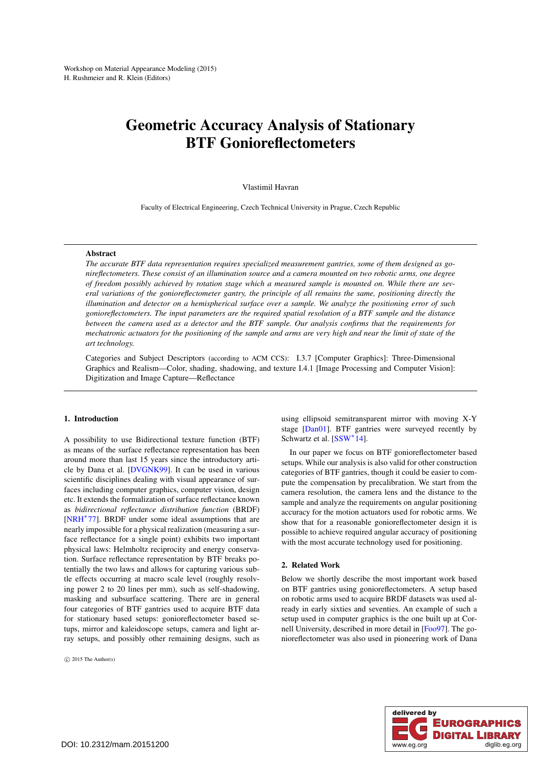# <span id="page-0-0"></span>Geometric Accuracy Analysis of Stationary BTF Gonioreflectometers

Vlastimil Havran

Faculty of Electrical Engineering, Czech Technical University in Prague, Czech Republic

# Abstract

*The accurate BTF data representation requires specialized measurement gantries, some of them designed as gonireflectometers. These consist of an illumination source and a camera mounted on two robotic arms, one degree of freedom possibly achieved by rotation stage which a measured sample is mounted on. While there are several variations of the gonioreflectometer gantry, the principle of all remains the same, positioning directly the illumination and detector on a hemispherical surface over a sample. We analyze the positioning error of such gonioreflectometers. The input parameters are the required spatial resolution of a BTF sample and the distance between the camera used as a detector and the BTF sample. Our analysis confirms that the requirements for mechatronic actuators for the positioning of the sample and arms are very high and near the limit of state of the art technology.*

Categories and Subject Descriptors (according to ACM CCS): I.3.7 [Computer Graphics]: Three-Dimensional Graphics and Realism—Color, shading, shadowing, and texture I.4.1 [Image Processing and Computer Vision]: Digitization and Image Capture—Reflectance

#### 1. Introduction

A possibility to use Bidirectional texture function (BTF) as means of the surface reflectance representation has been around more than last 15 years since the introductory article by Dana et al. [\[DVGNK99\]](#page-4-0). It can be used in various scientific disciplines dealing with visual appearance of surfaces including computer graphics, computer vision, design etc. It extends the formalization of surface reflectance known as *bidirectional reflectance distribution function* (BRDF) [\[NRH](#page-4-1)∗77]. BRDF under some ideal assumptions that are nearly impossible for a physical realization (measuring a surface reflectance for a single point) exhibits two important physical laws: Helmholtz reciprocity and energy conservation. Surface reflectance representation by BTF breaks potentially the two laws and allows for capturing various subtle effects occurring at macro scale level (roughly resolving power 2 to 20 lines per mm), such as self-shadowing, masking and subsurface scattering. There are in general four categories of BTF gantries used to acquire BTF data for stationary based setups: gonioreflectometer based setups, mirror and kaleidoscope setups, camera and light array setups, and possibly other remaining designs, such as

 $\circ$  2015 The Author(s)

using ellipsoid semitransparent mirror with moving X-Y stage [\[Dan01\]](#page-4-2). BTF gantries were surveyed recently by Schwartz et al. [\[SSW](#page-4-3)∗14].

In our paper we focus on BTF gonioreflectometer based setups. While our analysis is also valid for other construction categories of BTF gantries, though it could be easier to compute the compensation by precalibration. We start from the camera resolution, the camera lens and the distance to the sample and analyze the requirements on angular positioning accuracy for the motion actuators used for robotic arms. We show that for a reasonable gonioreflectometer design it is possible to achieve required angular accuracy of positioning with the most accurate technology used for positioning.

#### 2. Related Work

Below we shortly describe the most important work based on BTF gantries using gonioreflectometers. A setup based on robotic arms used to acquire BRDF datasets was used already in early sixties and seventies. An example of such a setup used in computer graphics is the one built up at Cornell University, described in more detail in [\[Foo97\]](#page-4-4). The gonioreflectometer was also used in pioneering work of Dana

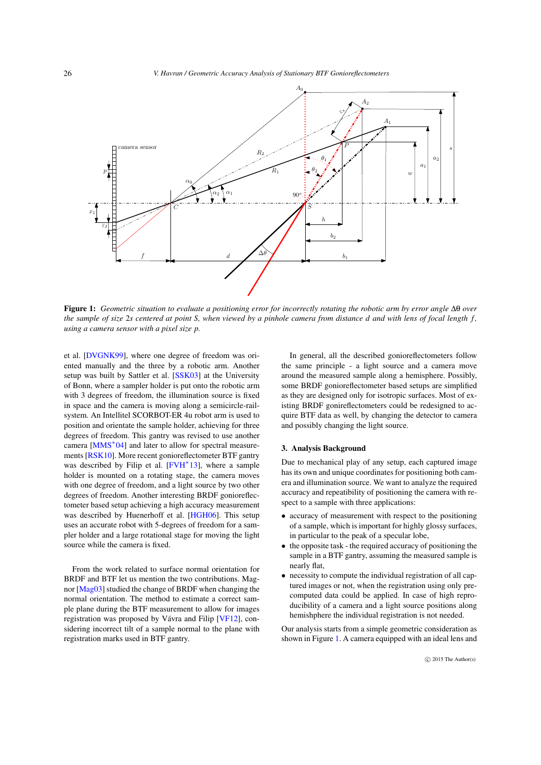<span id="page-1-1"></span>

Figure 1: *Geometric situation to evaluate a positioning error for incorrectly rotating the robotic arm by error angle* ∆θ *over the sample of size* 2*s centered at point S, when viewed by a pinhole camera from distance d and with lens of focal length f , using a camera sensor with a pixel size p.*

<span id="page-1-0"></span>et al. [\[DVGNK99\]](#page-4-0), where one degree of freedom was oriented manually and the three by a robotic arm. Another setup was built by Sattler et al. [\[SSK03\]](#page-4-5) at the University of Bonn, where a sampler holder is put onto the robotic arm with 3 degrees of freedom, the illumination source is fixed in space and the camera is moving along a semicircle-railsystem. An Intellitel SCORBOT-ER 4u robot arm is used to position and orientate the sample holder, achieving for three degrees of freedom. This gantry was revised to use another camera  $[MMS^*04]$  $[MMS^*04]$  and later to allow for spectral measurements [\[RSK10\]](#page-4-7). More recent gonioreflectometer BTF gantry was described by Filip et al. [\[FVH](#page-4-8)<sup>\*</sup>13], where a sample holder is mounted on a rotating stage, the camera moves with one degree of freedom, and a light source by two other degrees of freedom. Another interesting BRDF gonioreflectometer based setup achieving a high accuracy measurement was described by Huenerhoff et al. [\[HGH06\]](#page-4-9). This setup uses an accurate robot with 5-degrees of freedom for a sampler holder and a large rotational stage for moving the light source while the camera is fixed.

From the work related to surface normal orientation for BRDF and BTF let us mention the two contributions. Magnor [\[Mag03\]](#page-4-10) studied the change of BRDF when changing the normal orientation. The method to estimate a correct sample plane during the BTF measurement to allow for images registration was proposed by Vávra and Filip [\[VF12\]](#page-4-11), considering incorrect tilt of a sample normal to the plane with registration marks used in BTF gantry.

In general, all the described gonioreflectometers follow the same principle - a light source and a camera move around the measured sample along a hemisphere. Possibly, some BRDF gonioreflectometer based setups are simplified as they are designed only for isotropic surfaces. Most of existing BRDF gonireflectometers could be redesigned to acquire BTF data as well, by changing the detector to camera and possibly changing the light source.

## 3. Analysis Background

Due to mechanical play of any setup, each captured image has its own and unique coordinates for positioning both camera and illumination source. We want to analyze the required accuracy and repeatibility of positioning the camera with respect to a sample with three applications:

- accuracy of measurement with respect to the positioning of a sample, which is important for highly glossy surfaces, in particular to the peak of a specular lobe,
- the opposite task the required accuracy of positioning the sample in a BTF gantry, assuming the measured sample is nearly flat,
- necessity to compute the individual registration of all captured images or not, when the registration using only precomputed data could be applied. In case of high reproducibility of a camera and a light source positions along hemishphere the individual registration is not needed.

Our analysis starts from a simple geometric consideration as shown in Figure [1.](#page-1-0) A camera equipped with an ideal lens and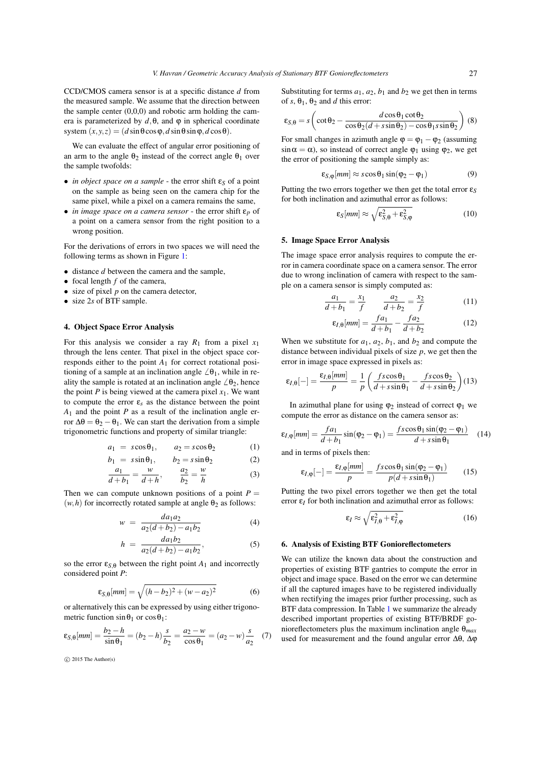CCD/CMOS camera sensor is at a specific distance *d* from the measured sample. We assume that the direction between the sample center  $(0,0,0)$  and robotic arm holding the camera is parameterized by  $d$ ,  $\theta$ , and  $\varphi$  in spherical coordinate system  $(x, y, z) = (d \sin \theta \cos \phi, d \sin \theta \sin \phi, d \cos \theta)$ .

We can evaluate the effect of angular error positioning of an arm to the angle  $\theta_2$  instead of the correct angle  $\theta_1$  over the sample twofolds:

- *in object space on a sample* the error shift  $ε_S$  of a point on the sample as being seen on the camera chip for the same pixel, while a pixel on a camera remains the same,
- *in image space on a camera sensor* the error shift ε*p* of a point on a camera sensor from the right position to a wrong position.

For the derivations of errors in two spaces we will need the following terms as shown in Figure [1:](#page-1-0)

- distance *d* between the camera and the sample,
- focal length *f* of the camera,
- size of pixel *p* on the camera detector,
- size 2*s* of BTF sample.

# 4. Object Space Error Analysis

For this analysis we consider a ray  $R_1$  from a pixel  $x_1$ through the lens center. That pixel in the object space corresponds either to the point *A*<sup>1</sup> for correct rotational positioning of a sample at an inclination angle  $\angle \theta_1$ , while in reality the sample is rotated at an inclination angle  $\angle \theta_2$ , hence the point  $P$  is being viewed at the camera pixel  $x_1$ . We want to compute the error  $\varepsilon_s$  as the distance between the point *A*<sup>1</sup> and the point *P* as a result of the inclination angle error  $\Delta\theta = \theta_2 - \theta_1$ . We can start the derivation from a simple trigonometric functions and property of similar triangle:

$$
a_1 = s\cos\theta_1, \qquad a_2 = s\cos\theta_2 \tag{1}
$$

$$
b_1 = s \sin \theta_1, \qquad b_2 = s \sin \theta_2 \tag{2}
$$

$$
\frac{a_1}{d+b_1} = \frac{w}{d+h}, \qquad \frac{a_2}{b_2} = \frac{w}{h}
$$
 (3)

Then we can compute unknown positions of a point  $P =$  $(w, h)$  for incorrectly rotated sample at angle  $\theta_2$  as follows:

$$
w = \frac{da_1a_2}{a_2(d+b_2) - a_1b_2} \tag{4}
$$

$$
h = \frac{da_1b_2}{a_2(d+b_2)-a_1b_2},
$$
\n(5)

so the error  $\varepsilon_{S,\theta}$  between the right point  $A_1$  and incorrectly considered point *P*:

$$
\varepsilon_{S,\theta}[mm] = \sqrt{(h - b_2)^2 + (w - a_2)^2}
$$
 (6)

or alternatively this can be expressed by using either trigonometric function  $\sin \theta_1$  or  $\cos \theta_1$ :

$$
\varepsilon_{S,\theta}[mm] = \frac{b_2 - h}{\sin \theta_1} = (b_2 - h)\frac{s}{b_2} = \frac{a_2 - w}{\cos \theta_1} = (a_2 - w)\frac{s}{a_2} \quad (7)
$$

 $\circ$  2015 The Author(s)

Substituting for terms  $a_1$ ,  $a_2$ ,  $b_1$  and  $b_2$  we get then in terms of  $s$ ,  $\theta_1$ ,  $\theta_2$  and *d* this error:

$$
\varepsilon_{S,\theta} = s \left( \cot \theta_2 - \frac{d \cos \theta_1 \cot \theta_2}{\cos \theta_2 (d + s \sin \theta_2) - \cos \theta_1 s \sin \theta_2} \right) (8)
$$

For small changes in azimuth angle  $\varphi = \varphi_1 - \varphi_2$  (assuming  $\sin \alpha = \alpha$ ), so instead of correct angle  $\varphi_1$  using  $\varphi_2$ , we get the error of positioning the sample simply as:

$$
\varepsilon_{S,\varphi}[mm] \approx s \cos \theta_1 \sin(\varphi_2 - \varphi_1) \tag{9}
$$

Putting the two errors together we then get the total error ε*<sup>S</sup>* for both inclination and azimuthal error as follows:

$$
\varepsilon_S[mm] \approx \sqrt{\varepsilon_{S,\theta}^2 + \varepsilon_{S,\phi}^2} \tag{10}
$$

#### 5. Image Space Error Analysis

The image space error analysis requires to compute the error in camera coordinate space on a camera sensor. The error due to wrong inclination of camera with respect to the sample on a camera sensor is simply computed as:

$$
\frac{a_1}{d+b_1} = \frac{x_1}{f} \qquad \frac{a_2}{d+b_2} = \frac{x_2}{f} \tag{11}
$$

$$
\varepsilon_{I,\theta}[mm] = \frac{fa_1}{d+b_1} - \frac{fa_2}{d+b_2} \tag{12}
$$

When we substitute for  $a_1$ ,  $a_2$ ,  $b_1$ , and  $b_2$  and compute the distance between individual pixels of size  $p$ , we get then the error in image space expressed in pixels as:

$$
\varepsilon_{I,\theta}[-] = \frac{\varepsilon_{I,\theta}[mm]}{p} = \frac{1}{p} \left( \frac{f s \cos \theta_1}{d + s \sin \theta_1} - \frac{f s \cos \theta_2}{d + s \sin \theta_2} \right) (13)
$$

In azimuthal plane for using  $\varphi_2$  instead of correct  $\varphi_1$  we compute the error as distance on the camera sensor as:

$$
\varepsilon_{I,\varphi}[mm] = \frac{fa_1}{d+b_1} \sin(\varphi_2 - \varphi_1) = \frac{f s \cos \theta_1 \sin(\varphi_2 - \varphi_1)}{d+s \sin \theta_1} \quad (14)
$$

and in terms of pixels then:

$$
\varepsilon_{I,\varphi}[-] = \frac{\varepsilon_{I,\varphi}[mm]}{p} = \frac{f s \cos \theta_1 \sin(\varphi_2 - \varphi_1)}{p(d + s \sin \theta_1)}\tag{15}
$$

Putting the two pixel errors together we then get the total error  $\varepsilon_I$  for both inclination and azimuthal error as follows:

$$
\varepsilon_I \approx \sqrt{\varepsilon_{I,\theta}^2 + \varepsilon_{I,\phi}^2}
$$
 (16)

# 6. Analysis of Existing BTF Gonioreflectometers

We can utilize the known data about the construction and properties of existing BTF gantries to compute the error in object and image space. Based on the error we can determine if all the captured images have to be registered individually when rectifying the images prior further processing, such as BTF data compression. In Table [1](#page-3-0) we summarize the already described important properties of existing BTF/BRDF gonioreflectometers plus the maximum inclination angle θ*max* used for measurement and the found angular error Δθ, Δφ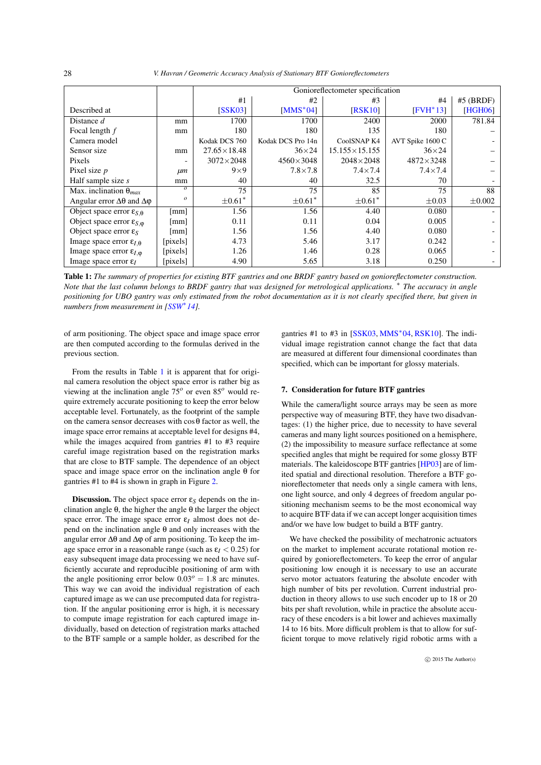*V. Havran / Geometric Accuracy Analysis of Stationary BTF Gonioreflectometers*

<span id="page-3-1"></span>

|                                               |                  | Gonioreflectometer specification |                   |                        |                    |             |
|-----------------------------------------------|------------------|----------------------------------|-------------------|------------------------|--------------------|-------------|
|                                               |                  | #1                               | #2                | #3                     | #4                 | $#5$ (BRDF) |
| Described at                                  |                  | <b>SSK031</b>                    | $[MMS^*04]$       | <b>[RSK10]</b>         | $[FWH^*13]$        | [HGH06]     |
| Distance $d$                                  | mm               | 1700                             | 1700              | 2400                   | 2000               | 781.84      |
| Focal length $f$                              | mm               | 180                              | 180               | 135                    | 180                |             |
| Camera model                                  |                  | Kodak DCS 760                    | Kodak DCS Pro 14n | CoolSNAP K4            | AVT Spike 1600 C   |             |
| Sensor size                                   | mm               | $27.65 \times 18.48$             | $36\times24$      | $15.155 \times 15.155$ | $36\times24$       |             |
| Pixels                                        |                  | $3072\times2048$                 | $4560\times3048$  | $2048 \times 2048$     | $4872 \times 3248$ |             |
| Pixel size $p$                                | $\mu$ m          | $9\times9$                       | $7.8\times7.8$    | $7.4 \times 7.4$       | $7.4 \times 7.4$   |             |
| Half sample size $s$                          | mm               | 40                               | 40                | 32.5                   | 70                 |             |
| Max. inclination $\theta_{max}$               | $\overline{o}$   | 75                               | 75                | 85                     | 75                 | 88          |
| Angular error $\Delta\theta$ and $\Delta\phi$ | $\boldsymbol{o}$ | $\pm 0.61*$                      | $\pm 0.61*$       | $\pm 0.61*$            | $\pm 0.03$         | $\pm 0.002$ |
| Object space error $\varepsilon_{S,\theta}$   | [mm]             | 1.56                             | 1.56              | 4.40                   | 0.080              |             |
| Object space error $\varepsilon_{S, \phi}$    | [mm]             | 0.11                             | 0.11              | 0.04                   | 0.005              |             |
| Object space error $\varepsilon_s$            | [mm]             | 1.56                             | 1.56              | 4.40                   | 0.080              |             |
| Image space error $\varepsilon_{I,\theta}$    | [pixels]         | 4.73                             | 5.46              | 3.17                   | 0.242              |             |
| Image space error $\varepsilon_{l,0}$         | [pixels]         | 1.26                             | 1.46              | 0.28                   | 0.065              |             |
| Image space error $\varepsilon_l$             | [pixels]         | 4.90                             | 5.65              | 3.18                   | 0.250              |             |

Table 1: *The summary of properties for existing BTF gantries and one BRDF gantry based on gonioreflectometer construction. Note that the last column belongs to BRDF gantry that was designed for metrological applications.* <sup>∗</sup> *The accuracy in angle positioning for UBO gantry was only estimated from the robot documentation as it is not clearly specified there, but given in numbers from measurement in [\[SSW](#page-4-3)*∗*14].*

<span id="page-3-0"></span>of arm positioning. The object space and image space error are then computed according to the formulas derived in the previous section.

From the results in Table [1](#page-3-0) it is apparent that for original camera resolution the object space error is rather big as viewing at the inclination angle 75*<sup>o</sup>* or even 85*<sup>o</sup>* would require extremely accurate positioning to keep the error below acceptable level. Fortunately, as the footprint of the sample on the camera sensor decreases with  $\cos\theta$  factor as well, the image space error remains at acceptable level for designs #4, while the images acquired from gantries #1 to #3 require careful image registration based on the registration marks that are close to BTF sample. The dependence of an object space and image space error on the inclination angle θ for gantries #1 to #4 is shown in graph in Figure [2.](#page-4-12)

**Discussion.** The object space error  $\varepsilon_S$  depends on the inclination angle θ, the higher the angle θ the larger the object space error. The image space error  $\varepsilon_l$  almost does not depend on the inclination angle θ and only increases with the angular error  $\Delta\theta$  and  $\Delta\phi$  of arm positioning. To keep the image space error in a reasonable range (such as  $\varepsilon_I < 0.25$ ) for easy subsequent image data processing we need to have sufficiently accurate and reproducible positioning of arm with the angle positioning error below  $0.03^\circ = 1.8$  arc minutes. This way we can avoid the individual registration of each captured image as we can use precomputed data for registration. If the angular positioning error is high, it is necessary to compute image registration for each captured image individually, based on detection of registration marks attached to the BTF sample or a sample holder, as described for the gantries  $#1$  to  $#3$  in  $[SSK03, MMS^*04, RSK10]$  $[SSK03, MMS^*04, RSK10]$  $[SSK03, MMS^*04, RSK10]$  $[SSK03, MMS^*04, RSK10]$  $[SSK03, MMS^*04, RSK10]$ . The individual image registration cannot change the fact that data are measured at different four dimensional coordinates than specified, which can be important for glossy materials.

## 7. Consideration for future BTF gantries

While the camera/light source arrays may be seen as more perspective way of measuring BTF, they have two disadvantages: (1) the higher price, due to necessity to have several cameras and many light sources positioned on a hemisphere, (2) the impossibility to measure surface reflectance at some specified angles that might be required for some glossy BTF materials. The kaleidoscope BTF gantries [\[HP03\]](#page-4-13) are of limited spatial and directional resolution. Therefore a BTF gonioreflectometer that needs only a single camera with lens, one light source, and only 4 degrees of freedom angular positioning mechanism seems to be the most economical way to acquire BTF data if we can accept longer acquisition times and/or we have low budget to build a BTF gantry.

We have checked the possibility of mechatronic actuators on the market to implement accurate rotational motion required by gonioreflectometers. To keep the error of angular positioning low enough it is necessary to use an accurate servo motor actuators featuring the absolute encoder with high number of bits per revolution. Current industrial production in theory allows to use such encoder up to 18 or 20 bits per shaft revolution, while in practice the absolute accuracy of these encoders is a bit lower and achieves maximally 14 to 16 bits. More difficult problem is that to allow for sufficient torque to move relatively rigid robotic arms with a